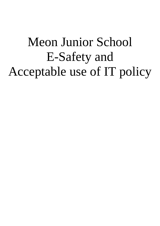# Meon Junior School E-Safety and Acceptable use of IT policy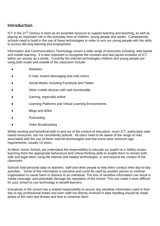## **Introduction**

ICT in the 21<sup>st</sup> Century is seen as an essential resource to support learning and teaching, as well as playing an important role in the everyday lives of children, young people and adults. Consequently, schools need to build in the use of these technologies in order to arm our young people with the skills to access life-long learning and employment.

Information and Communications Technology covers a wide range of resources including; web-based and mobile learning. It is also important to recognise the constant and fast paced evolution of ICT within our society as a whole. Currently the internet technologies children and young people are using both inside and outside of the classroom include:

- Websites
- E-mail, Instant Messaging and chat rooms
- Social Media, including Facebook and Twitter
- Other mobile devices with web functionality
- Gaming, especially online
- Learning Platforms and Virtual Learning Environments
- **Blogs and Wikis**
- Podcasting
- Video Broadcasting

Whilst exciting and beneficial both in and out of the context of education, much ICT, particularly webbased resources, are not consistently policed. All users need to be aware of the range of risks associated with the use of these Internet technologies and that some have minimum age requirements, usually 13 years.

At Meon Junior School*,* we understand the responsibility to educate our pupils on e Safety issues; teaching them the appropriate behaviours and critical thinking skills to enable them to remain both safe and legal when using the internet and related technologies, in and beyond the context of the classroom.

Schools hold personal data on learners, staff and other people to help them conduct their day-to-day activities. Some of this information is sensitive and could be used by another person or criminal organisation to cause harm or distress to an individual. The loss of sensitive information can result in media coverage, and potentially damage the reputation of the school. This can make it more difficult for your school to use technology to benefit learners.

Everybody in the school has a shared responsibility to secure any sensitive information used in their day to day professional duties and even staff not directly involved in data handling should be made aware of the risks and threats and how to minimise them.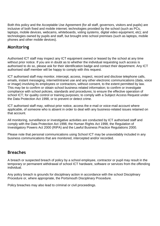Both this policy and the Acceptable Use Agreement (for all staff, governors, visitors and pupils) are inclusive of both fixed and mobile internet; technologies provided by the school (such as PCs, laptops, mobile devices, webcams, whiteboards, voting systems, digital video equipment, etc); and technologies owned by pupils and staff, but brought onto school premises (such as laptops, mobile phones and other mobile devices).

## **Monitoring**

Authorised ICT staff may inspect any ICT equipment owned or leased by the school at any time without prior notice. If you are in doubt as to whether the individual requesting such access is authorised to do so, please ask for their identification badge and contact their department. Any ICT authorised staff member will be happy to comply with this request.

ICT authorised staff may monitor, intercept, access, inspect, record and disclose telephone calls, emails, instant messaging, internet/intranet use and any other electronic communications (data, voice or image) involving its employees or contractors, without consent, to the extent permitted by law. This may be to confirm or obtain school business related information; to confirm or investigate compliance with school policies, standards and procedures; to ensure the effective operation of school ICT; for quality control or training purposes; to comply with a Subject Access Request under the Data Protection Act 1998, or to prevent or detect crime.

ICT authorised staff may, without prior notice, access the e-mail or voice-mail account where applicable, of someone who is absent in order to deal with any business-related issues retained on that account.

All monitoring, surveillance or investigative activities are conducted by ICT authorised staff and comply with the Data Protection Act 1998, the Human Rights Act 1998, the Regulation of Investigatory Powers Act 2000 (RIPA) and the Lawful Business Practice Regulations 2000.

Please note that personal communications using School ICT may be unavoidably included in any business communications that are monitored, intercepted and/or recorded.

## **Breaches**

A breach or suspected breach of policy by a school employee, contractor or pupil may result in the temporary or permanent withdrawal of school ICT hardware, software or services from the offending individual.

Any policy breach is grounds for disciplinary action in accordance with the school Disciplinary Procedure or, where appropriate, the Portsmouth Disciplinary Procedure.

Policy breaches may also lead to criminal or civil proceedings.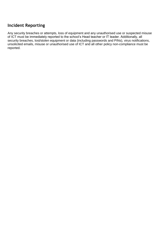## **Incident Reporting**

Any security breaches or attempts, loss of equipment and any unauthorised use or suspected misuse of ICT must be immediately reported to the school's Head teacher or IT leader. Additionally, all security breaches, lost/stolen equipment or data (including passwords and PINs), virus notifications, unsolicited emails, misuse or unauthorised use of ICT and all other policy non-compliance must be reported.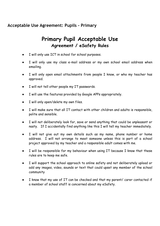## **Acceptable Use Agreement: Pupils - Primary**

## **Primary Pupil Acceptable Use Agreement / eSafety Rules**

- I will only use ICT in school for school purposes.
- I will only use my class e-mail address or my own school email address when emailing.
- I will only open email attachments from people I know, or who my teacher has approved.
- I will not tell other people my IT passwords.
- I will use the features provided by Google APPs appropriately.
- I will only open/delete my own files.
- I will make sure that all IT contact with other children and adults is responsible, polite and sensible.
- I will not deliberately look for, save or send anything that could be unpleasant or nasty. If I accidentally find anything like this I will tell my teacher immediately.
- I will not give out my own details such as my name, phone number or home address. I will not arrange to meet someone unless this is part of a school project approved by my teacher and a responsible adult comes with me.
- I will be responsible for my behaviour when using IT because I know that these rules are to keep me safe.
- I will support the school approach to online safety and not deliberately upload or add any images, video, sounds or text that could upset any member of the school community
- I know that my use of IT can be checked and that my parent/ carer contacted if a member of school staff is concerned about my eSafety.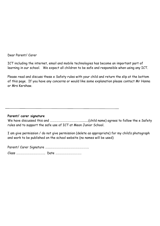#### Dear Parent/ Carer

ICT including the internet, email and mobile technologies has become an important part of learning in our school. We expect all children to be safe and responsible when using any ICT.

Please read and discuss these e Safety rules with your child and return the slip at the bottom of this page. If you have any concerns or would like some explanation please contact Mr Hanna or Mrs Kershaw.

#### **Parent/ carer signature**

We have discussed this and ……………………………………..........(child name) agrees to follow the e Safety rules and to support the safe use of ICT at Meon Junior School.

I am give permission / do not give permission (delete as appropriate) for my child's photograph and work to be published on the school website (no names will be used)

Parent/ Carer Signature …….………………….………………………….

Class …………………………………. Date ………………………………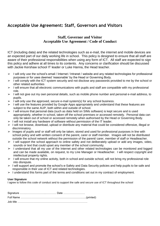## **Acceptable Use Agreement: Staff, Governors and Visitors**

#### **Staff, Governor and Visitor Acceptable Use Agreement / Code of Conduct**

ICT (including data) and the related technologies such as e-mail, the internet and mobile devices are an expected part of our daily working life in school. This policy is designed to ensure that all staff are aware of their professional responsibilities when using any form of ICT. All staff are expected to sign this policy and adhere at all times to its contents. Any concerns or clarification should be discussed with Jackie Kershaw school IT leader or Luke Hanna, the Head teacher.

- $>$  I will only use the school's email / Internet / Intranet / website and any related technologies for professional purposes or for uses deemed 'reasonable' by the Head or Governing Body.
- ➢ I will comply with the ICT system security and not disclose any passwords provided to me by the school or other related authorities
- ➢ I will ensure that all electronic communications with pupils and staff are compatible with my professional role.
- ➢ I will not give out my own personal details, such as mobile phone number and personal e-mail address, to pupils.
- $\geq$  I will only use the approved, secure e-mail system(s) for any school business.
- $>$  I will use the features provided by Google Apps appropriately and understand that these features are subject to the same AUP, both within and outside of school.
- $>$  I will ensure that personal data (such as data held on SIMs software) is kept secure and is used appropriately, whether in school, taken off the school premises or accessed remotely. Personal data can only be taken out of school or accessed remotely when authorised by the Head or Governing Body.
- $>$  I will not install any hardware of software without permission of the IT leader.
- ➢ I will not browse, download, upload or distribute any material that could be considered offensive, illegal or discriminatory.
- $\geq$  Images of pupils and/ or staff will only be taken, stored and used for professional purposes in line with school policy and with written consent of the parent, carer or staff member. Images will not be distributed outside the school network without the permission of the parent/ carer, member of staff or Headteacher.
- ➢ I will support the school approach to online safety and not deliberately upload or add any images, video, sounds or text that could upset any member of the school community.
- ➢ I understand that all my use of the Internet and other related technologies can be monitored and logged and can be made available, on request, to my Line Manager or Headteacher. I will respect copyright and intellectual property rights.
- $\triangleright$  I will ensure that my online activity, both in school and outside school, will not bring my professional role into disrepute.
- ➢ I will support and promote the school's e-Safety and Data Security policies and help pupils to be safe and responsible in their use of ICT and related technologies.
- $>1$  understand this forms part of the terms and conditions set out in my contract of employment.

#### **User Signature**

I agree to follow this code of conduct and to support the safe and secure use of ICT throughout the school

| Job title ………………………………………………………………………… |  |
|----------------------------------------|--|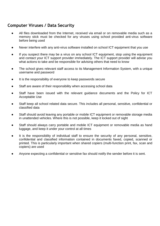## **Computer Viruses / Data Security**

- All files downloaded from the Internet, received via email or on removable media such as a memory stick must be checked for any viruses using school provided anti-virus software before being used
- Never interfere with any anti-virus software installed on school ICT equipment that you use
- If you suspect there may be a virus on any school ICT equipment, stop using the equipment and contact your ICT support provider immediately. The ICT support provider will advise you what actions to take and be responsible for advising others that need to know
- The school gives relevant staff access to its Management Information System, with a unique username and password
- It is the responsibility of everyone to keep passwords secure
- Staff are aware of their responsibility when accessing school data
- Staff have been issued with the relevant guidance documents and the Policy for ICT Acceptable Use
- Staff keep all school related data secure. This includes all personal, sensitive, confidential or classified data
- Staff should avoid leaving any portable or mobile ICT equipment or removable storage media in unattended vehicles. Where this is not possible, keep it locked out of sight
- Staff should always carry portable and mobile ICT equipment or removable media as hand luggage, and keep it under your control at all times
- It is the responsibility of individual staff to ensure the security of any personal, sensitive, confidential and classified information contained in documents faxed, copied, scanned or printed. This is particularly important when shared copiers (multi-function print, fax, scan and copiers) are used
- Anyone expecting a confidential or sensitive fax should notify the sender before it is sent.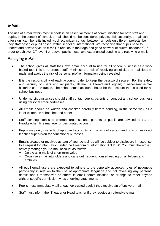## **e-Mail**

The use of e-mail within most schools is an essential means of communication for both staff and pupils. In the context of school, e-mail should not be considered private. Educationally, e-mail can offer significant benefits including; direct written contact between schools on different projects, be they staff based or pupil based, within school or international. We recognise that pupils need to understand how to style an e-mail in relation to their age and good network etiquette;'netiquette'. In order to achieve ICT level 4 or above, pupils must have experienced sending and receiving e-mails.

#### **Managing e-Mail**

- The school gives all staff their own email account to use for all school business as a work based tool This is to protect staff, minimise the risk of receiving unsolicited or malicious emails and avoids the risk of personal profile information being revealed
- It is the responsibility of each account holder to keep the password secure. For the safety and security of users and recipients, all mail is filtered and logged; if necessary e-mail histories can be traced. The school email account should be the account that is used for all school business
- Under no circumstances should staff contact pupils, parents or conduct any school business using personal email addresses
- All emails should be written and checked carefully before sending, in the same way as a letter written on school headed paper
- Staff sending emails to external organisations, parents or pupils are advised to cc. the Headteacher, line manager or designated account
- Pupils may only use school approved accounts on the school system and only under direct teacher supervision for educational purposes
- Emails created or received as part of your school job will be subject to disclosure in response to a request for information under the Freedom of Information Act 2000. You must therefore actively manage your e-mail account as follows:
	- Delete all e-mails of short-term value
	- − Organise e-mail into folders and carry out frequent house-keeping on all folders and archives
- All pupil email users are expected to adhere to the generally accepted rules of netiquette particularly in relation to the use of appropriate language and not revealing any personal details about themselves or others in email communication, or arrange to meet anyone without specific permission, virus checking attachments
- Pupils must immediately tell a teacher/ trusted adult if they receive an offensive e-mail
- Staff must inform the IT leader or Head teacher if they receive an offensive e-mail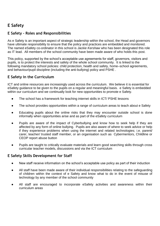## **E Safety**

#### **E Safety - Roles and Responsibilities**

As e Safety is an important aspect of strategic leadership within the school, the Head and governors have ultimate responsibility to ensure that the policy and practices are embedded and monitored. The named eSafety co-ordinator in this school is *Jackie Kershaw* who has been designated this role as IT lead. All members of the school community have been made aware of who holds this post.

This policy, supported by the school's acceptable use agreements for staff, governors, visitors and pupils, is to protect the interests and safety of the whole school community. It is linked to the following mandatory school policies: child protection, health and safety, home–school agreements, and behaviour/pupil discipline (including the anti-bullying) policy and PSHE .

#### **E Safety in the Curriculum**

ICT and online resources are increasingly used across the curriculum. We believe it is essential for eSafety guidance to be given to the pupils on a regular and meaningful basis. e Safety is embedded within our curriculum and we continually look for new opportunities to promote e Safety.

- The school has a framework for teaching internet skills in ICT/ PSHE lessons
- The school provides opportunities within a range of curriculum areas to teach about e Safety
- Educating pupils about the online risks that they may encounter outside school is done informally when opportunities arise and as part of the eSafety curriculum
- Pupils are aware of the impact of Cyberbullying and know how to seek help if they are affected by any form of online bullying. Pupils are also aware of where to seek advice or help if they experience problems when using the internet and related technologies; i.e. parent/ carer, teacher/ trusted staff member, or an organisation such as Cybermentors, Childline or CEOP report abuse button
- Pupils are taught to critically evaluate materials and learn good searching skills through cross curricular teacher models, discussions and via the ICT curriculum

#### **E Safety Skills Development for Staff**

- New staff receive information on the school's acceptable use policy as part of their induction
- All staff have been made aware of their individual responsibilities relating to the safeguarding of children within the context of e Safety and know what to do in the event of misuse of technology by any member of the school community
- All staff are encouraged to incorporate eSafety activities and awareness within their curriculum areas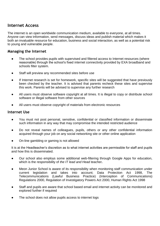## **Internet Access**

The internet is an open worldwide communication medium, available to everyone, at all times. Anyone can view information, send messages, discuss ideas and publish material which makes it both an invaluable resource for education, business and social interaction, as well as a potential risk to young and vulnerable people.

#### **Managing the Internet**

- The school provides pupils with supervised and filtered access to Internet resources (where reasonable) through the school's fixed internet connectivity provided by EXA broadband and schools filter system.
- Staff will preview any recommended sites before use
- If Internet research is set for homework, specific sites will be suggested that have previously been checked by the teacher. It is advised that parents recheck these sites and supervise this work. Parents will be advised to supervise any further research
- All users must observe software copyright at all times. It is illegal to copy or distribute school software or illegal software from other sources
- All users must observe copyright of materials from electronic resources

#### **Internet Use**

- You must not post personal, sensitive, confidential or classified information or disseminate such information in any way that may compromise the intended restricted audience
- Do not reveal names of colleagues, pupils, others or any other confidential information acquired through your job on any social networking site or other online application
- On-line gambling or gaming is not allowed

It is at the Headteacher's discretion as to what internet activities are permissible for staff and pupils and how this is disseminated.

- Our school also employs some additional web-filtering through Google Apps for education, which is the responsibility of *the IT lead and Head teacher.*
- Meon Junior School is aware of its responsibility when monitoring staff communication under current legislation and takes into account; Data Protection Act 1998, The Telecommunications (Lawful Business Practice) (Interception of Communications) Regulations 2000, Regulation of Investigatory Powers Act 2000, Human Rights Act 1998
- Staff and pupils are aware that school based email and internet activity can be monitored and explored further if required
- The school does not allow pupils access to internet logs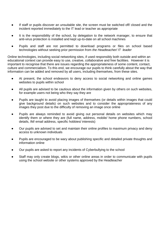- If staff or pupils discover an unsuitable site, the screen must be switched off/ closed and the incident reported immediately to the IT lead or teacher as appropriate
- It is the responsibility of the school, by delegation to the network manager, to ensure that anti-virus protection is installed and kept up-to-date on all school machines
- Pupils and staff are not permitted to download programs or files on school based technologies without seeking prior permission from *the Headteacher/ IT leader*

Online technologies, including social networking sites, if used responsibly both outside and within an educational context can provide easy to use, creative, collaborative and free facilities. However it is important to recognise that there are issues regarding the appropriateness of some content, contact, culture and commercialism. To this end, we encourage our pupils to think carefully about the way that information can be added and removed by all users, including themselves, from these sites.

- At present, the school endeavors to deny access to social networking and online games websites to pupils within school
- All pupils are advised to be cautious about the information given by others on such websites, for example users not being who they say they are
- Pupils are taught to avoid placing images of themselves (or details within images that could give background details) on such websites and to consider the appropriateness of any images they post due to the difficulty of removing an image once online
- Pupils are always reminded to avoid giving out personal details on websites which may identify them or where they are (full name, address, mobile/ home phone numbers, school details, IM/ email address, specific hobbies/ interests)
- Our pupils are advised to set and maintain their online profiles to maximum privacy and deny access to unknown individuals
- Pupils are encouraged to be wary about publishing specific and detailed private thoughts and information online
- Our pupils are asked to report any incidents of Cyberbullying to the school
- Staff may only create blogs, wikis or other online areas in order to communicate with pupils using the school website or other systems approved by the Headteacher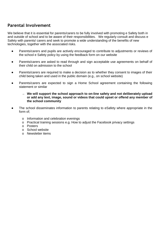## **Parental Involvement**

We believe that it is essential for parents/carers to be fully involved with promoting e Safety both in and outside of school and to be aware of their responsibilities. We regularly consult and discuss e Safety with parents/ carers and seek to promote a wide understanding of the benefits of new technologies, together with the associated risks.

- Parents/carers and pupils are actively encouraged to contribute to adjustments or reviews of the school e Safety policy by using the feedback form on our website
- Parents/carers are asked to read through and sign acceptable use agreements on behalf of their child on admission to the school
- Parents/carers are required to make a decision as to whether they consent to images of their child being taken and used in the public domain (e.g., on school website)
- Parents/carers are expected to sign a Home School agreement containing the following statement or similar
	- <sup>→</sup> **We will support the school approach to on-line safety and not deliberately upload or add any text, image, sound or videos that could upset or offend any member of the school community**
- The school disseminates information to parents relating to eSafety where appropriate in the form of;
	- o Information and celebration evenings
	- o Practical training sessions e.g. How to adjust the Facebook privacy settings
	- o Posters
	- o School website
	- o Newsletter items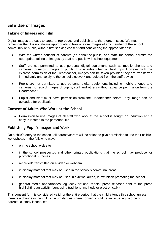## **Safe Use of Images**

#### **Taking of Images and Film**

Digital images are easy to capture, reproduce and publish and, therefore, misuse. We must remember that it is not always appropriate to take or store images of any member of the school community or public, without first seeking consent and considering the appropriateness.

- With the written consent of parents (on behalf of pupils) and staff, the school permits the appropriate taking of images by staff and pupils with school equipment
- Staff are not permitted to use personal digital equipment, such as mobile phones and cameras, to record images of pupils, this includes when on field trips. However with the express permission of the Headteacher, images can be taken provided they are transferred immediately and solely to the school's network and deleted from the staff device
- Pupils are not permitted to use personal digital equipment, including mobile phones and cameras, to record images of pupils, staff and others without advance permission from the Headteacher
- Pupils and staff must have permission from the Headteacher before any image can be uploaded for publication

#### **Consent of Adults Who Work at the School**

● Permission to use images of all staff who work at the school is sought on induction and a copy is located in the personnel file

#### **Publishing Pupil's Images and Work**

On a child's entry to the school, all parents/carers will be asked to give permission to use their child's work/photos in the following ways:

- on the school web site
- in the school prospectus and other printed publications that the school may produce for promotional purposes
- recorded/ transmitted on a video or webcam
- in display material that may be used in the school's communal areas
- in display material that may be used in external areas, ie exhibition promoting the school
- general media appearances, eg local/ national media/ press releases sent to the press highlighting an activity (sent using traditional methods or electronically)

This consent form is considered valid for the entire period that the child attends this school unless there is a change in the child's circumstances where consent could be an issue, eg divorce of parents, custody issues, etc.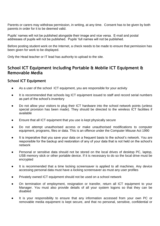Parents or carers may withdraw permission, in writing, at any time. Consent has to be given by both parents in order for it to be deemed valid.

Pupils' names will not be published alongside their image and vice versa. E-mail and postal addresses of pupils will not be published. Pupils' full names will not be published.

Before posting student work on the Internet, a check needs to be made to ensure that permission has been given for work to be displayed.

Only the Head teacher or IT lead has authority to upload to the site.

### **School ICT Equipment including Portable & Mobile ICT Equipment & Removable Media**

#### **School ICT Equipment**

- As a user of the school ICT equipment, you are responsible for your activity
- It is recommended that schools log ICT equipment issued to staff and record serial numbers as part of the school's inventory
- Do not allow your visitors to plug their ICT hardware into the school network points (unless special provision has been made). They should be directed to the wireless ICT facilities if available
- Ensure that all ICT equipment that you use is kept physically secure
- Do not attempt unauthorised access or make unauthorised modifications to computer equipment, programs, files or data. This is an offence under the Computer Misuse Act 1990
- It is imperative that you save your data on a frequent basis to the school's network. You are responsible for the backup and restoration of any of your data that is not held on the school's network
- Personal or sensitive data should not be stored on the local drives of desktop PC, laptop, USB memory stick or other portable device. If it is necessary to do so the local drive must be encrypted
- It is recommended that a time locking screensaver is applied to all machines. Any device accessing personal data must have a locking screensaver as must any user profiles
- Privately owned ICT equipment should not be used on a school network
- On termination of employment, resignation or transfer, return all ICT equipment to your Manager. You must also provide details of all your system logons so that they can be disabled
- It is your responsibility to ensure that any information accessed from your own PC or removable media equipment is kept secure, and that no personal, sensitive, confidential or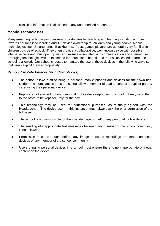classified information is disclosed to any unauthorised person

#### **Mobile Technologies**

Many emerging technologies offer new opportunities for teaching and learning including a move towards personalised learning and 1:1 device ownership for children and young people. Mobile technologies such Smartphones, Blackberries, iPads, games players, are generally very familiar to children outside of school. They often provide a collaborative, well-known device with possible internet access and thus open up risk and misuse associated with communication and internet use. Emerging technologies will be examined for educational benefit and the risk assessed before use in school is allowed. Our school chooses to manage the use of these devices in the following ways so that users exploit them appropriately.

#### *Personal Mobile Devices (including phones)*

- The school allows staff to bring in personal mobile phones and devices for their own use. Under no circumstances does the school allow a member of staff to contact a pupil or parent/ carer using their personal device
- Pupils are not allowed to bring personal mobile devices/phones to school but may send them to the office to be kept securely for the day.
- This technology may be used for educational purposes, as mutually agreed with the Headteacher.The device user, in this instance, must always ask the prior permission of the bill payer
- The school is not responsible for the loss, damage or theft of any personal mobile device
- The sending of inappropriate text messages between any member of the school community is not allowed
- Permission must be sought before any image or sound recordings are made on these devices of any member of the school community
- Users bringing personal devices into school must ensure there is no inappropriate or illegal content on the device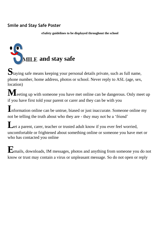## **Smile and Stay Safe Poster**

**eSafety guidelines to be displayed throughout the school** 



**S**taying safe means keeping your personal details private, such as full name, phone number, home address, photos or school. Never reply to ASL (age, sex, location)

**M**eeting up with someone you have met online can be dangerous. Only meet up if you have first told your parent or carer and they can be with you

**I**nformation online can be untrue, biased or just inaccurate. Someone online my not be telling the truth about who they are - they may not be a 'friend'

Let a parent, carer, teacher or trusted adult know if you ever feel worried, uncomfortable or frightened about something online or someone you have met or who has contacted you online

**E**mails, downloads, IM messages, photos and anything from someone you do not know or trust may contain a virus or unpleasant message. So do not open or reply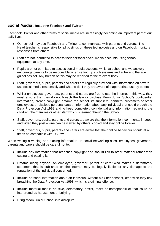#### **Social Media, including Facebook and Twitter**

Facebook, Twitter and other forms of social media are increasingly becoming an important part of our daily lives.

- Our school may use Facebook and Twitter to communicate with parents and carers. The Head teacher is responsible for all postings on these technologies and on Facebook monitors responses from others
- Staff are not permitted to access their personal social media accounts using school equipment at any time.
- Pupils are not permitted to access social media accounts whilst at school and we actively encourage parents to be responsible when setting up such systems and adhere to the age guidelines set. Any breach of this may be reported to the relevant body.
- Staff, governors, pupils, parents and carers are regularly provided with information on how to use social media responsibly and what to do if they are aware of inappropriate use by others
- Whilst employees, governors, parents and carers are free to use the internet in this way, they must ensure that they do not breach the law or disclose Meon Junior School's confidential information, breach copyright, defame the school, its suppliers, partners, customers or other employees, or disclose personal data or information about any individual that could breach the Data Protection Act 1998 and to keep completely confidential any information regarding the children, their families or other staff which is learned through the School.
- Staff, governors, pupils, parents and carers are aware that the information, comments, images and video they post online can be viewed by others, copied and stay online forever
- Staff, governors, pupils, parents and carers are aware that their online behaviour should at all times be compatible with UK law

When writing a weblog and placing information on social networking sites, employees, governors, parents and carers should be careful not to:

- Include any information that breaches copyright and should link to other material rather than cutting and pasting it.
- Defame (libel) anyone. An employee, governor, parent or carer who makes a defamatory statement that is published on the internet may be legally liable for any damage to the reputation of the individual concerned.
- Include personal information about an individual without his / her consent, otherwise they risk breaching the Data Protection Act 1998, which is a criminal offence.
- Include material that is abusive, defamatory, sexist, racist or homophobic or that could be interpreted as harassment or bullying.
- ●
- **Bring Meon Junior School into disrepute.**